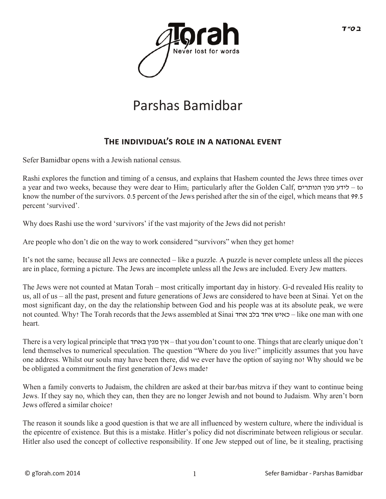

## Parshas Bamidbar

## THE INDIVIDUAL'S ROLE IN A NATIONAL EVENT

Sefer Bamidbar opens with a Jewish national census.

Rashi explores the function and timing of a census, and explains that Hashem counted the Jews three times over a year and two weeks, because they were dear to Him; particularly after the Golden Calf, הנותרים מנין לידע – to know the number of the survivors. 0.5 percent of the Jews perished after the sin of the eigel, which means that 99.5 percent 'survived'.

Why does Rashi use the word 'survivors' if the vast majority of the Jews did not perish?

Are people who don't die on the way to work considered "survivors" when they get home?

It's not the same; because all Jews are connected – like a puzzle. A puzzle is never complete unless all the pieces are in place, forming a picture. The Jews are incomplete unless all the Jews are included. Every Jew matters.

The Jews were not counted at Matan Torah – most critically important day in history. G-d revealed His reality to us, all of us – all the past, present and future generations of Jews are considered to have been at Sinai. Yet on the most significant day, on the day the relationship between God and his people was at its absolute peak, we were not counted. Why? The Torah records that the Jews assembled at Sinai אחד בלב אחד כאיש – like one man with one heart.

There is a very logical principle that באחד מנין אין – that you don't count to one. Things that are clearly unique don't lend themselves to numerical speculation. The question "Where do you live?" implicitly assumes that you have one address. Whilst our souls may have been there, did we ever have the option of saying no? Why should we be be obligated a commitment the first generation of Jews made?

When a family converts to Judaism, the children are asked at their bar/bas mitzva if they want to continue being Jews. If they say no, which they can, then they are no longer Jewish and not bound to Judaism. Why aren't born Jews offered a similar choice?

The reason it sounds like a good question is that we are all influenced by western culture, where the individual is the epicentre of existence. But this is a mistake. Hitler's policy did not discriminate between religious or secular. Hitler also used the concept of collective responsibility. If one Jew stepped out of line, be it stealing, practising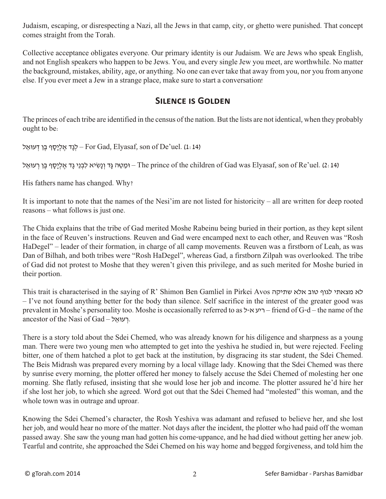Judaism, escaping, or disrespecting a Nazi, all the Jews in that camp, city, or ghetto were punished. That concept comes straight from the Torah.

Collective acceptance obligates everyone. Our primary identity is our Judaism. We are Jews who speak English, and not English speakers who happen to be Jews. You, and every single Jew you meet, are worthwhile. No matter the background, mistakes, ability, age, or anything. No one can ever take that away from you, nor you from anyone else. If you ever meet a Jew in a strange place, make sure to start a conversation!

## **Silence is Golden**

The princes of each tribe are identified in the census of the nation. But the lists are not identical, when they probably ought to be:

לְנָד אֱלְיָסָף בֵן דְעוּאֵל – For Gad, Elyasaf, son of De'uel. (1: 14)

וּמֵטֶה גַּד וְנַשִׂיא לִבְנֵי גָּד אֱלִיַסָף בֵן רְעוּאֵל – The prince of the children of Gad was Elyasaf, son of Re'uel. (2: 14)

His fathers name has changed. Why?

It is important to note that the names of the Nesi'im are not listed for historicity – all are written for deep rooted reasons – what follows is just one.

The Chida explains that the tribe of Gad merited Moshe Rabeinu being buried in their portion, as they kept silent in the face of Reuven's instructions. Reuven and Gad were encamped next to each other, and Reuven was "Rosh HaDegel" – leader of their formation, in charge of all camp movements. Reuven was a firstborn of Leah, as was Dan of Bilhah, and both tribes were "Rosh HaDegel", whereas Gad, a firstborn Zilpah was overlooked. The tribe of Gad did not protest to Moshe that they weren't given this privilege, and as such merited for Moshe buried in their portion.

This trait is characterised in the saying of R' Shimon Ben Gamliel in Pirkei Avos שתיקה אלא טוב לגוף מצאתי לא – I've not found anything better for the body than silence. Self sacrifice in the interest of the greater good was prevalent in Moshe's personality too. Moshe is occasionally referred to as ל-א ריע – friend of G-d – the name of the ancestor of the Nasi of Gad – רעואַל.

There is a story told about the Sdei Chemed, who was already known for his diligence and sharpness as a young man. There were two young men who attempted to get into the yeshiva he studied in, but were rejected. Feeling bitter, one of them hatched a plot to get back at the institution, by disgracing its star student, the Sdei Chemed. The Beis Midrash was prepared every morning by a local village lady. Knowing that the Sdei Chemed was there by sunrise every morning, the plotter offered her money to falsely accuse the Sdei Chemed of molesting her one morning. She flatly refused, insisting that she would lose her job and income. The plotter assured he'd hire her if she lost her job, to which she agreed. Word got out that the Sdei Chemed had "molested" this woman, and the whole town was in outrage and uproar.

Knowing the Sdei Chemed's character, the Rosh Yeshiva was adamant and refused to believe her, and she lost her job, and would hear no more of the matter. Not days after the incident, the plotter who had paid off the woman passed away. She saw the young man had gotten his come-uppance, and he had died without getting her anew job. Tearful and contrite, she approached the Sdei Chemed on his way home and begged forgiveness, and told him the